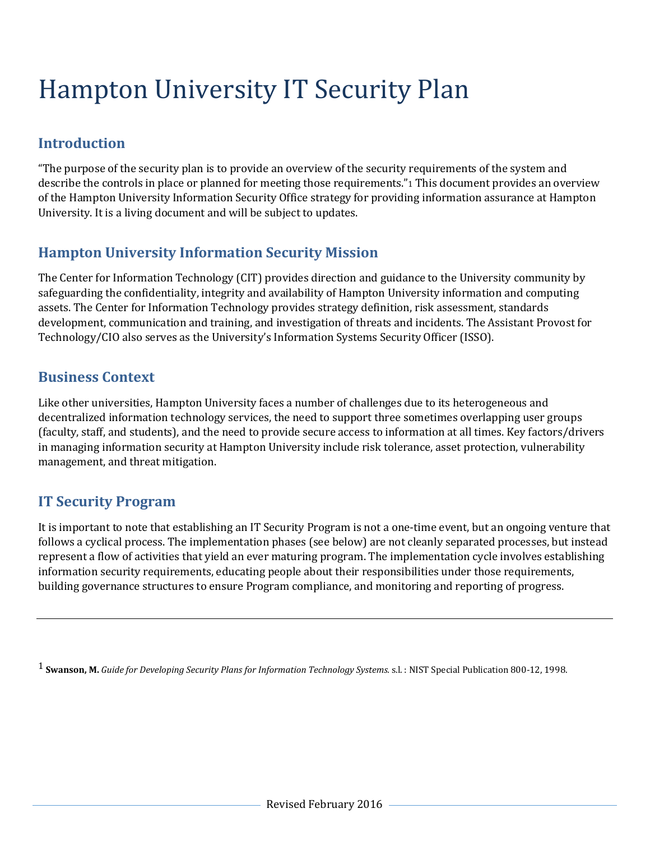# Hampton University IT Security Plan

# **Introduction**

"The purpose of the security plan is to provide an overview of the security requirements of the system and describe the controls in place or planned for meeting those requirements."1 This document provides an overview of the Hampton University Information Security Office strategy for providing information assurance at Hampton University. It is a living document and will be subject to updates.

# **Hampton University Information Security Mission**

The Center for Information Technology (CIT) provides direction and guidance to the University community by safeguarding the confidentiality, integrity and availability of Hampton University information and computing assets. The Center for Information Technology provides strategy definition, risk assessment, standards development, communication and training, and investigation of threats and incidents. The Assistant Provost for Technology/CIO also serves as the University's Information Systems Security Officer (ISSO).

## **Business Context**

Like other universities, Hampton University faces a number of challenges due to its heterogeneous and decentralized information technology services, the need to support three sometimes overlapping user groups (faculty, staff, and students), and the need to provide secure access to information at all times. Key factors/drivers in managing information security at Hampton University include risk tolerance, asset protection, vulnerability management, and threat mitigation.

# **IT Security Program**

It is important to note that establishing an IT Security Program is not a one-time event, but an ongoing venture that follows a cyclical process. The implementation phases (see below) are not cleanly separated processes, but instead represent a flow of activities that yield an ever maturing program. The implementation cycle involves establishing information security requirements, educating people about their responsibilities under those requirements, building governance structures to ensure Program compliance, and monitoring and reporting of progress.

1 **Swanson, M.** *Guide for Developing Security Plans for Information Technology Systems.* s.l. : NIST Special Publication 800-12, 1998.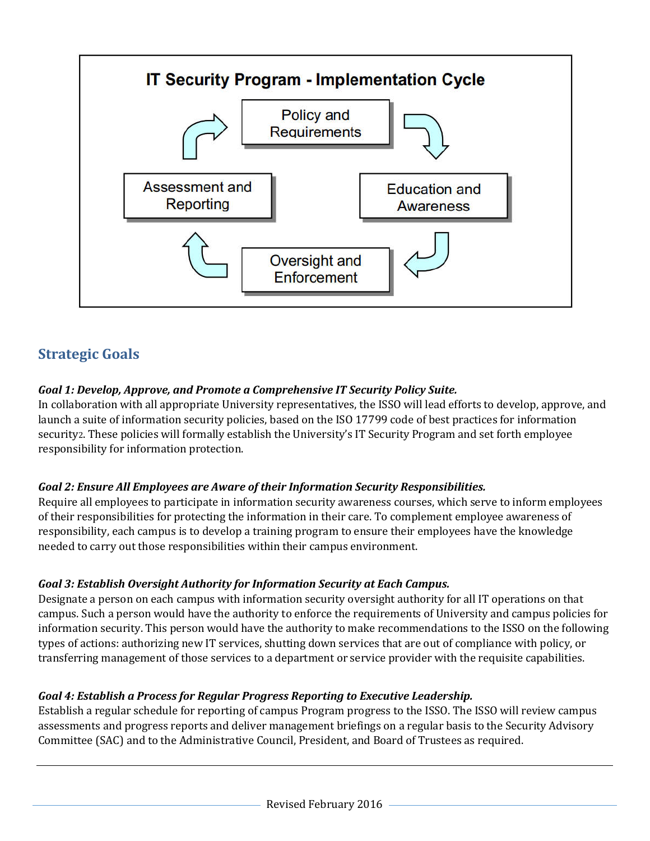

# **Strategic Goals**

## *Goal 1: Develop, Approve, and Promote a Comprehensive IT Security Policy Suite.*

In collaboration with all appropriate University representatives, the ISSO will lead efforts to develop, approve, and launch a suite of information security policies, based on the ISO 17799 code of best practices for information security2. These policies will formally establish the University's IT Security Program and set forth employee responsibility for information protection.

## *Goal 2: Ensure All Employees are Aware of their Information Security Responsibilities.*

Require all employees to participate in information security awareness courses, which serve to inform employees of their responsibilities for protecting the information in their care. To complement employee awareness of responsibility, each campus is to develop a training program to ensure their employees have the knowledge needed to carry out those responsibilities within their campus environment.

## *Goal 3: Establish Oversight Authority for Information Security at Each Campus.*

Designate a person on each campus with information security oversight authority for all IT operations on that campus. Such a person would have the authority to enforce the requirements of University and campus policies for information security. This person would have the authority to make recommendations to the ISSO on the following types of actions: authorizing new IT services, shutting down services that are out of compliance with policy, or transferring management of those services to a department or service provider with the requisite capabilities.

## *Goal 4: Establish a Process for Regular Progress Reporting to Executive Leadership.*

Establish a regular schedule for reporting of campus Program progress to the ISSO. The ISSO will review campus assessments and progress reports and deliver management briefings on a regular basis to the Security Advisory Committee (SAC) and to the Administrative Council, President, and Board of Trustees as required.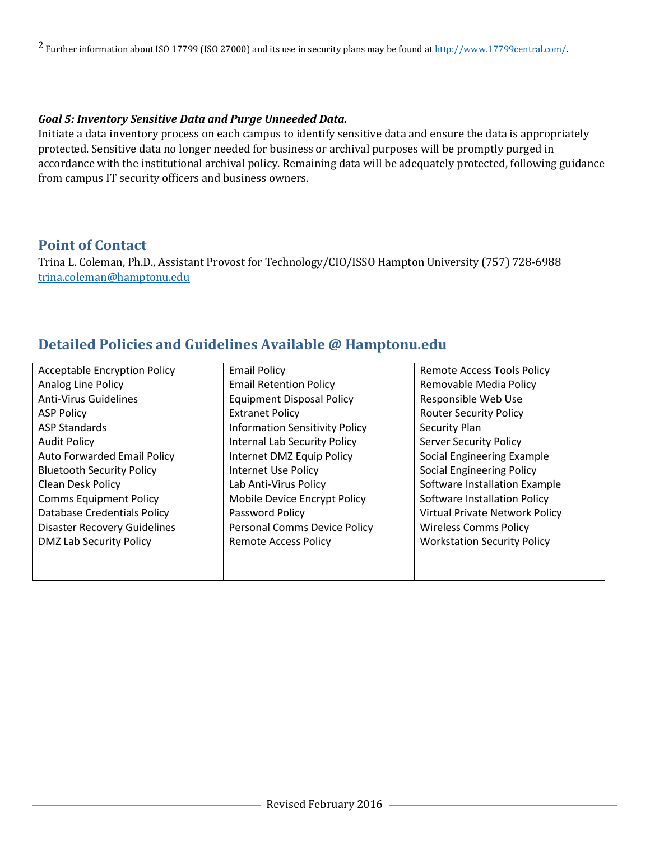2 Further information about ISO 17799 (ISO 27000) and its use in security plans may be found at http://www.17799central.com/.

#### *Goal 5: Inventory Sensitive Data and Purge Unneeded Data.*

Initiate a data inventory process on each campus to identify sensitive data and ensure the data is appropriately protected. Sensitive data no longer needed for business or archival purposes will be promptly purged in accordance with the institutional archival policy. Remaining data will be adequately protected, following guidance from campus IT security officers and business owners.

## **Point of Contact**

Trina L. Coleman, Ph.D., Assistant Provost for Technology/CIO/ISSO Hampton University (757) 728-6988 trina.coleman@hamptonu.edu

## **Detailed Policies and Guidelines Available @ Hamptonu.edu**

| <b>Acceptable Encryption Policy</b> | <b>Email Policy</b>                   | <b>Remote Access Tools Policy</b>  |
|-------------------------------------|---------------------------------------|------------------------------------|
| Analog Line Policy                  | <b>Email Retention Policy</b>         | Removable Media Policy             |
| <b>Anti-Virus Guidelines</b>        | <b>Equipment Disposal Policy</b>      | Responsible Web Use                |
| <b>ASP Policy</b>                   | <b>Extranet Policy</b>                | <b>Router Security Policy</b>      |
| <b>ASP Standards</b>                | <b>Information Sensitivity Policy</b> | Security Plan                      |
| <b>Audit Policy</b>                 | Internal Lab Security Policy          | <b>Server Security Policy</b>      |
| <b>Auto Forwarded Email Policy</b>  | Internet DMZ Equip Policy             | Social Engineering Example         |
| <b>Bluetooth Security Policy</b>    | Internet Use Policy                   | <b>Social Engineering Policy</b>   |
| <b>Clean Desk Policy</b>            | Lab Anti-Virus Policy                 | Software Installation Example      |
| <b>Comms Equipment Policy</b>       | Mobile Device Encrypt Policy          | Software Installation Policy       |
| Database Credentials Policy         | Password Policy                       | Virtual Private Network Policy     |
| <b>Disaster Recovery Guidelines</b> | Personal Comms Device Policy          | <b>Wireless Comms Policy</b>       |
| DMZ Lab Security Policy             | Remote Access Policy                  | <b>Workstation Security Policy</b> |
|                                     |                                       |                                    |
|                                     |                                       |                                    |